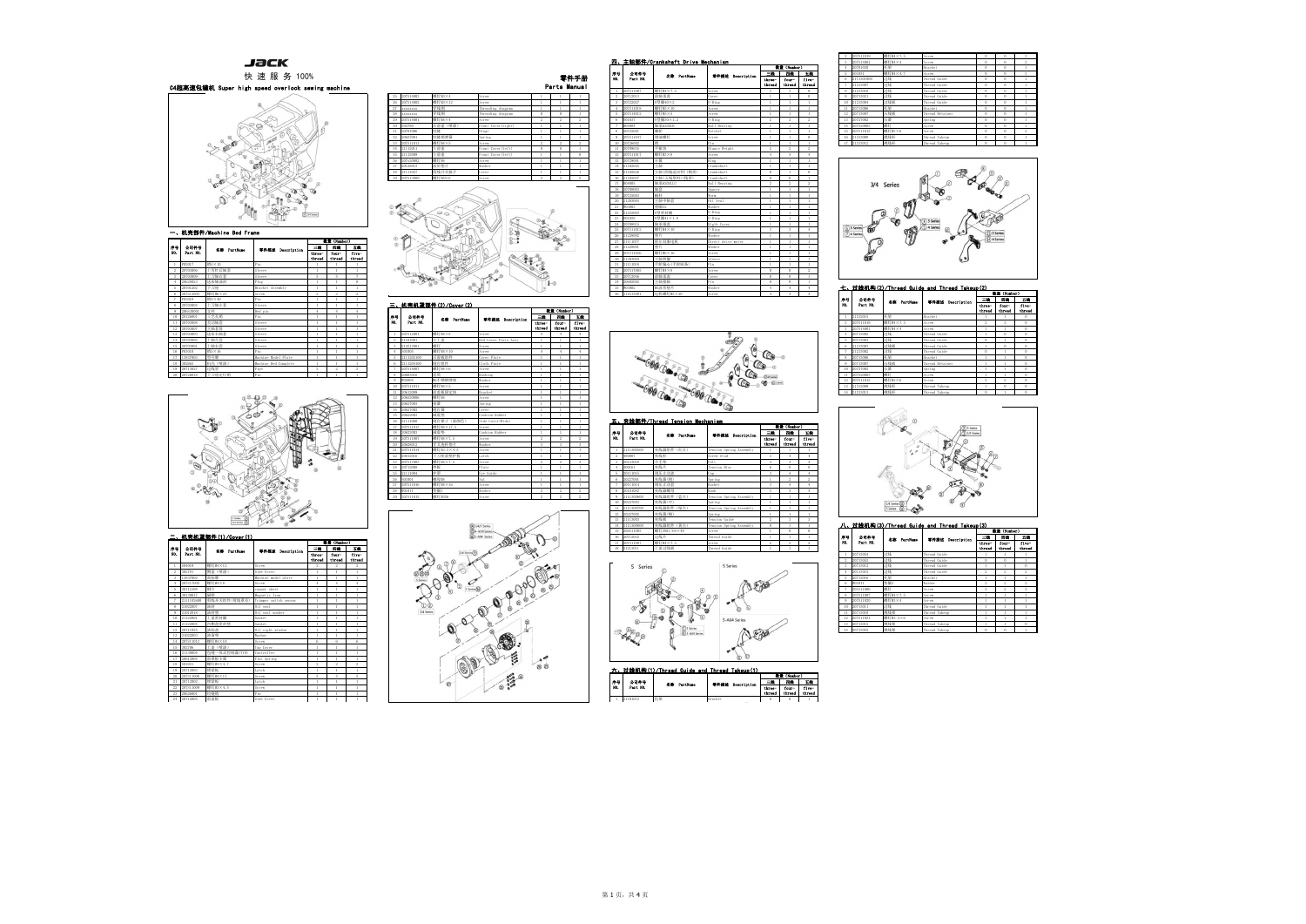

|                         |           |             |                      |                  | 数量 (Number)     |                 |
|-------------------------|-----------|-------------|----------------------|------------------|-----------------|-----------------|
| 序号                      | 公司件号      | 名称 PartHane | 零件描述 Description     | 三級               | 四條              | 五輪              |
| NO.                     | Part NO.  |             |                      | three-<br>thread | four-<br>thraad | five-<br>thread |
| 1                       | P03017    | 销5×10       | Pin                  |                  | 1               | ١               |
| $\overline{2}$          | 20703006  | 上弯针后轴套      | Sleeve               |                  | ١               | ĭ.              |
| $\overline{\mathbf{3}}$ | 20703009  | 上刀轴右套       | Sleeve               | 5                | ś               | 7               |
| 4                       | 20628023  | 送布轴油封       | Plug                 | Ï                | ï               | $\theta$        |
| 5                       | 20701202  | 下刀座         | Bracket Assembly     | Ï                | ï               | ï               |
| 6                       | 207S13003 | 螺钉M6×25     | Screw                | $^{2}$           | $^{2}$          | $\overline{2}$  |
| 7                       | P03018    | 销4×40       | Pin                  | 1                | 1               | I               |
| 8                       | 20703004  | 上刀轴左套       | Sleeve               | Ï                | ï               | 1               |
| $\mathbf{Q}$            | 206530001 | 支柱          | Bed pin              | $\overline{4}$   | 4               | $\ddot{4}$      |
| 10                      | 20126001  | 工艺孔销        | Pin                  | 1                | ï               | 1               |
| 11                      | 20703008  | 差动轴套        | Sleeve               | ١                | ï               | ï               |
| 12                      | 20703007  | 主轴套筒        | Sleeve               | 1                | 1               | ï               |
| 13                      | 20703003  | 送布右轴套       | Sleeve               | Ï                | ï               | ï               |
| 14                      | 20703002  | 上轴左套        | Sleeve               | ï                | f,              | ï               |
| 15                      | 20703001  | 上轴右套        | Sleeve               |                  |                 | ï               |
| 16                      | P03010    | 销5×16       | Pin                  | Ï                | ı               | I               |
| 17                      | 13837003  | 型号牌         | Machine Model Plate  | ï                | I.              | 1               |
| 18                      | 302663    | 机壳 (喷漆)     | Machine Bed Complete | Ï                | ï               | ï               |
| 19                      | 20713027  | 过线管         | Pipe                 | $^{2}$           | $^{2}$          | 2               |
| 20                      | 20726018  | 下刀座定位销      | Pin                  | ï                | ï               | T.              |



| <u>(2)</u>       |                 |                 |
|------------------|-----------------|-----------------|
|                  | 数量 (Number)     |                 |
| 三輪               | 四級              | 五股              |
| three-<br>thread | four-<br>thread | five-<br>threed |
|                  | ı               | $\overline{0}$  |
| $\overline{2}$   | 2               | $\bf{0}$        |
|                  |                 | $\bf{0}$        |
| ١                | $\bf{0}$        | $\bf{0}$        |
| ō                | 1               | $\bf{0}$        |
| ī                | Ö               | $\overline{0}$  |
| Ō                | ı               | $\overline{0}$  |
|                  | ï               | $\overline{0}$  |
|                  | ï               | $\overline{0}$  |
|                  | ï               | $\overline{0}$  |
| ï                | ï               | $\overline{0}$  |
| $\overline{2}$   | 2               | $\Omega$        |
| ï                | Ö               | $\overline{0}$  |
| ò                | ï               | $\alpha$        |



| $\sim$           | 数量 (Number)     |                 |
|------------------|-----------------|-----------------|
| Ξ                | 四輪              | 五鈴              |
| three-<br>thread | four-<br>thread | five-<br>thread |
|                  | ı               | ı               |
| Ō                | $\mathbf{0}$    | ı               |
|                  | ı               | $\overline{0}$  |
| $\overline{2}$   | 2               | $\overline{2}$  |
|                  | ı               | ı               |
| $\overline{2}$   | $\overline{2}$  | $\overline{2}$  |
| $\overline{2}$   | $\overline{2}$  | $\overline{2}$  |
|                  | ı               | ı               |
|                  | ı               | ı               |
|                  | ı               | ı               |
|                  | ı               | ı               |
|                  | ١               | ı               |
| ï                | ı               | $\overline{0}$  |
| Ò                | Ō               | ï               |

|                         |            |               |                       |                  | <b>Circular</b> ) |                 |
|-------------------------|------------|---------------|-----------------------|------------------|-------------------|-----------------|
| 岸号                      | 公司件号       | 名意 PartHans   | 零件描述 Description      | 三輪               | 四线                | 王趋              |
| m.                      | Part HO.   |               |                       | three-<br>thread | four-<br>thread   | five-<br>thread |
| 1                       | S04019     | 螺钉M4×12       | Screw                 | $\overline{2}$   | $\overline{2}$    | $\overline{2}$  |
| $\mathfrak{D}$          | 302781     | 侧盖(喷漆)        | Side Cover            | ï                | Ĩ.                | ĭ.              |
| $\overline{\mathbf{3}}$ | 13837002   | 商标牌           | Machine model plate   |                  | 1                 |                 |
| 4                       | 207S17005  | 螺钉M4×8        | Serew                 | $\overline{4}$   | 4                 | $\ddot{4}$      |
| 5                       | 30112108   | 铜片            | copper sheet          |                  | ï                 | 1               |
| 6                       | 30130017   | 磁铁            | Magnetic Iron         |                  | ï                 |                 |
| 7                       | 2111102600 | 剪线开关组件(剪线罩壳)  | Trimmer switch sensor |                  | Ĩ.                | ٠               |
| 8                       | 21022007   | 油封            | Oil seal              |                  | ï                 |                 |
| $\overline{Q}$          | 21012018   | 油封垫           | Oil seal washer       |                  | Ï                 |                 |
| 10                      | 21122001   | 上盖密封圈         | Gasket                |                  | ï                 |                 |
| 11                      | 21122004   | 内侧盖密封垫        | Gasket                |                  | ï                 |                 |
| 12                      | 20711055   | 油标盖           | Oil sight window      |                  | ï                 |                 |
| 13                      | 21022003   | 油窗垫           | Washer                |                  |                   |                 |
| 14                      | 207S11012  | 螺钉M4×10       | Serew                 | 6                | 6                 | 6               |
| 15                      | 302706     | 上盖(喷漆)        | Top Cover             |                  | Ï                 |                 |
| 16                      | 21130004   | 包缝一体式控制器(T19) | Controller            |                  | ï                 | ï               |
| 17                      | 20612004   | 前罩板卡簧         | Flat Spring           | ï                | Ĩ.                | ĭ.              |
| 18                      | S01031     | 螺钉M4×4.7      | Serew                 | $\overline{2}$   | $\overline{2}$    | $\overline{2}$  |
| 19                      | 20712003   | 锁紧板           | Latch                 |                  | ï                 |                 |
| 20                      | 207S11008  | 螺钉M4×12       | Screw                 | 5                | 5                 | 5               |
| 21                      | 20712002   | 锁紧板           | Latch                 |                  | ï                 |                 |
| 22                      | 207S11009  | 螺钉M3×4.5      | Screw                 |                  | ï                 |                 |
| 23                      | 20626001   | 铰链销           | Pin                   |                  | ı                 |                 |
| 24                      | 20712005   | 前盖板           | Side Cover            |                  | 1                 |                 |

| $\overline{0}$ | $\overline{2}$ |
|----------------|----------------|
| $\mathbf{0}$   | $\overline{2}$ |
| $\mathbf{0}$   | l              |
| $\overline{0}$ | 3              |
| $\bf{0}$       | $\mathbf{1}$   |
| $\overline{0}$ | í              |
| $\overline{0}$ | $\overline{1}$ |
| $\overline{0}$ | ı              |
| $\overline{0}$ | $\mathbf{1}$   |
| $\bf{0}$       | ı              |
| $\overline{0}$ | 1              |
| $\overline{0}$ | ١              |
| $\mathbf{0}$   | ı              |
| $\,$ 0         | $\overline{2}$ |
| $\mathbf{0}$   | ı              |
| $\mathbf{0}$   | ١              |

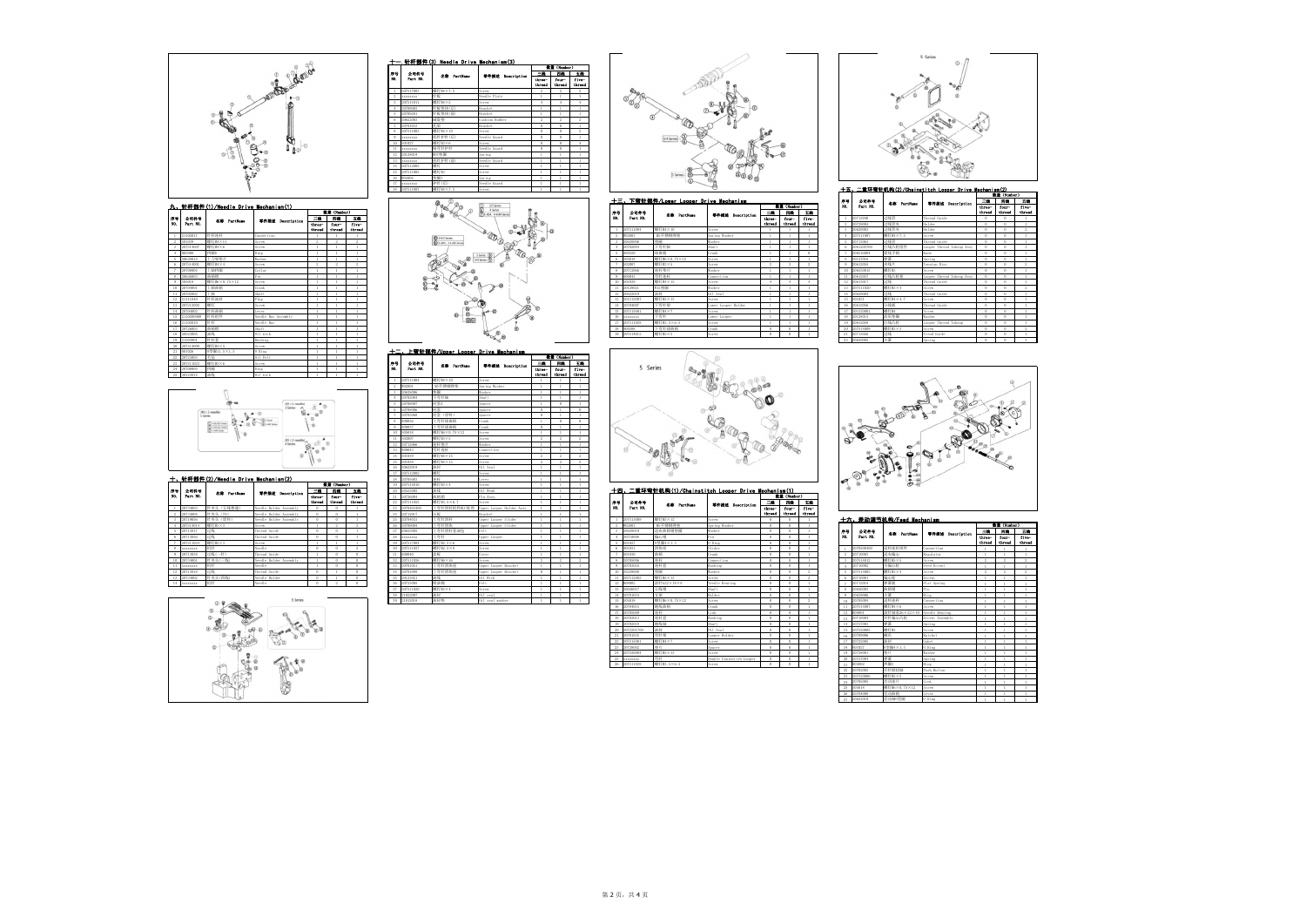





S

|                |            | │ 八\ 左列 啊   切【™】 F000 MOUNTII SIII |                  |                  | <b>Eric (Humber)</b> |                 |
|----------------|------------|------------------------------------|------------------|------------------|----------------------|-----------------|
| Þ₩.            | 公司件号       | 名意 PartHane                        | 零件描述 Description | 三歲               | 四絵                   | 五輪              |
| m.             | Part NO.   |                                    |                  | three-<br>thread | four-<br>thread      | five-<br>thread |
|                | 2070500400 | 送料连杆组件                             | Connection       |                  |                      |                 |
| $\,2\,$        | 20710003   | 送布偏心                               | Regulator        |                  | 1                    | $\mathbf{I}$    |
| 3              | 207S14012  | 螺钉M5×5                             | Screw            | $\overline{2}$   | $\overline{2}$       | $\overline{2}$  |
| $\ddot{4}$     | 20710002   | 小偏心轮                               | Feed Eccent      |                  | ï                    | ï               |
| 5              | 207S14003  | 螺钉M3×4                             | Screw            | $\overline{2}$   | $\overline{2}$       | $\overline{2}$  |
| 6              | 20710001   | 偏心轮                                | Eccent           |                  |                      | 1               |
| $\overline{7}$ | 20712018   | 弹簧板                                | Flat Spring      |                  |                      | Ï               |
| 8              | 20626003   | 曲柄销                                | Pin              |                  | Ï                    | I.              |
| $\overline{9}$ | 20629006   | 卡簧                                 | Ring             |                  | ï                    | I.              |
| 10             | 20705004   | 送料连杆                               | Connection       |                  | Ï                    | ï               |
| 11             | 207S14007  | 螺钉M4×6                             | Screw            |                  | ١                    | I.              |
| 12             | B08001     | 滚针轴承26×22×10                       | Needle Bearing   |                  | 1                    | 1               |
| 13             | 20710004   | 开针偏心凸轮                             | Eccent Assembly  |                  |                      | Ï               |
| 14             | 20727003   | 弹簧                                 | Spring           | 1                | 1                    | $\mathbf{I}$    |
| 15             | 207S20005  | 螺钉M2                               | Screw            | ĭ.               | ï                    | I.              |
| 16             | 20709006   | 競爪                                 | Ratchet          |                  |                      | 1               |
| 17             | 20722005   | 油封                                 | Gaket            |                  |                      | Ï               |
| 18             | 001027     | 0型圈4×1.3                           | 0 Ring           |                  | ï                    | f,              |
| 19             | 20728001   | 铬片                                 | Washer           |                  | 1                    | 1               |
| 20             | 20727004   | 弹簧                                 | Spring           |                  |                      | ï               |
| 21             | H05002     | 档圈3                                | Ring             |                  | ï                    | ĭ.              |
| $^{22}$        | 20702005   | 开针掀扭轴                              | Push Button      |                  |                      | 1               |
| 23             | 207S20006  | 螺钉M5×5                             | Screw            |                  |                      | ï               |
| 24             | 20705005   | 差动连片                               | Link             |                  | ï                    |                 |
| 25             | S05018     | 螺钉M6×0.75×12                       | Screw            | ï                | I.                   | I.              |
| 26             | 20704008   | 差动曲柄                               | Lever            | 1                | ï                    | $\mathbf{I}$    |
| 27             | 20622010   | 差动轴0型圈                             | 0 Ring           |                  |                      |                 |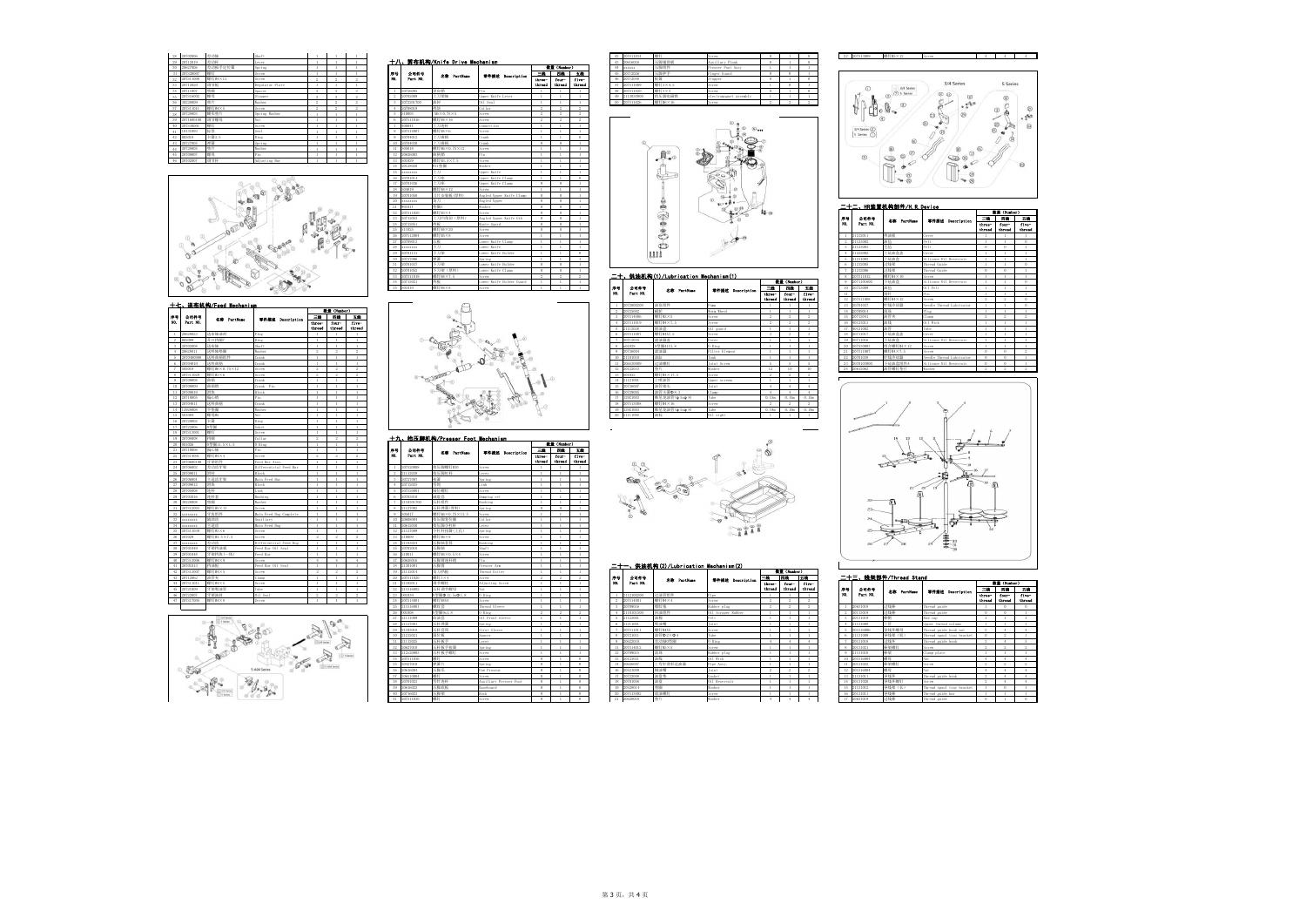| 28 | 20702006   | 差动轴     | Shaft           |          |                |                |     |            |                               |                   |                |             |              |
|----|------------|---------|-----------------|----------|----------------|----------------|-----|------------|-------------------------------|-------------------|----------------|-------------|--------------|
| 29 | 20712019   | 差动杆     | Lever           |          |                |                |     |            | 十八、萌布机构/Knife Drive Mechanism |                   |                |             |              |
| 30 | 20627006   | 差动扳手定位簧 | Spring          |          |                |                |     |            |                               |                   |                | 数量 (Munber) |              |
| 31 | 207S20007  | 螺钉      | Screw           |          |                |                | 序号  | 公司件号       | 名称 PartMane                   | 零件描述 Description  | 三路             | 四线          | 玉柱           |
| 32 | 207S11008  | 螺钉M4×12 | Screw           | $\alpha$ | $\mathfrak{D}$ | $\overline{2}$ | HO. | Part NO.   |                               |                   | three-         | four-       | five         |
| 33 | 20712020   | 调节板     | Regulator Plate |          |                |                |     |            |                               |                   | thread         | thread      | three        |
| 34 | 20711007   | 格圈      | Spacer          | $\alpha$ | $\alpha$       | $\circ$        |     | 20726005   | 导向销                           | Pin               |                |             |              |
| 35 | 207S16002  | 螺母      | Stopper         | $\alpha$ | $\alpha$       | $\circ$        |     | 20702009   | 上刀架轴                          | Upper Knife Lever |                |             |              |
| 36 | 30228009   | 格片      | Washer          | $\alpha$ | $\circ$        | $\circ$        |     | 2072201700 | 油封                            | Oil Seal          |                |             |              |
| 37 | 207S11011  | 螺钉M4×5  | Screw           | $\alpha$ | $\sim$         | $\circ$        |     | 20708019   | 挡块                            | Collar            | $\mathfrak{D}$ | $\circ$     | $\circ$      |
| 38 | 20728003   | 蝶形垫片    | Spring Washer   |          |                |                | ь   | S10003     | $M6 \times 0.75 \times 5$     | Screw             | $\alpha$       | $\alpha$    | $\mathbf{2}$ |
| 39 | 2071600100 | 调节螺母    | Nut             |          |                |                |     | 207S11016  | 螺钉M4×16                       | Screw             | $\sim$         | $\sim$      | $\circ$      |
| 40 | 207S30001  | 螺钉      | Screw           |          |                |                |     | 400041     | 上刀连杆                          | Connection        |                |             |              |
| 41 | 10131093   | 标签      | Seal            |          |                |                |     | 207S14007  | 螺钉M4×6                        | Screw             |                |             |              |
| 42 | H05018     | 卡簧3.5   | Ring            |          |                |                |     | 20704012   | 上刀曲柄                          | Crank             |                |             | $\Omega$     |
| 43 | 20727005   | 弹簧      | Spring          |          |                |                | 10  | 20704030   | 上刀曲柄                          | Crank             |                |             |              |
| 44 | 20728005   | 格片      | Washer          |          |                |                |     | S05018     | 螺钉M6×0.75×12                  | Screw             |                |             |              |
| 45 | 20709007   | 螺母      | Pin             |          |                |                | 12  | 20626003   | 曲柄销                           | Pin               |                |             |              |
|    | 20702007   | 调节杆     | Adjusting Bar   |          |                |                | 13  | S01029     | 螺钉M3.5×7.5                    | Screw             |                |             |              |







| 28 20702006          | haft            |                |  |             |                                                                                 |                                                 |                                                                                                     |        |                      |                | - 42 12                | - 985年                        | crew                                          |                     |             |          |             | 22 207S13009                | 螺钉M5×12                                         | Screw                  | $4 \quad 1$ | 4           |       |
|----------------------|-----------------|----------------|--|-------------|---------------------------------------------------------------------------------|-------------------------------------------------|-----------------------------------------------------------------------------------------------------|--------|----------------------|----------------|------------------------|-------------------------------|-----------------------------------------------|---------------------|-------------|----------|-------------|-----------------------------|-------------------------------------------------|------------------------|-------------|-------------|-------|
| 20712019<br>苏动杆      | ever            | $\mathbf{1}$   |  |             |                                                                                 | 十八、剪布机构/Knife Drive Mechanism                   |                                                                                                     |        |                      |                | 43<br>20616016         | 压脚轴助板                         | Auxiliary Plank                               | $\sqrt{2}$          |             |          |             |                             |                                                 |                        |             |             |       |
| 动板手定位簧<br>20627006   | pring           | $\mathbf{1}$   |  |             |                                                                                 |                                                 |                                                                                                     |        | 数量 (Number)          |                | 44 xxxxxx              | 压脚组件                          | resser Foot Assy                              |                     |             |          |             |                             |                                                 |                        |             |             |       |
| 207S20007            | Screw           | $\overline{1}$ |  | $# +$ $#0.$ | 公司件号<br>Part NO.                                                                | 名称 PartName                                     | 零件描述 Description                                                                                    | 三路     | 四歳 一                 | 五集             | 45<br>20712026         | 压脚护手                          | inger Guard                                   |                     |             |          |             |                             |                                                 |                        |             |             |       |
| 螺钉M4×12<br>207S11008 | crew            | 2              |  |             |                                                                                 |                                                 |                                                                                                     | three- | four-                | five-          | 46 20712048            | 板簧                            | topper                                        | $\Omega$            |             |          |             |                             |                                                 |                        |             |             |       |
| 调节板<br>20712020      | Regulator Plate | $\mathbf{1}$   |  |             |                                                                                 |                                                 |                                                                                                     |        | thread thread thread |                | 47 207S11009           | 螺钉3×4.5                       | Screw                                         |                     |             |          |             |                             | 3/4 Series                                      | 3/4 Series             |             | 5 Series    |       |
| 垫圈<br>20711007       | pacer           | $\sim$         |  |             | 1 20726005                                                                      | 导向销                                             |                                                                                                     |        |                      |                | 48 207S11020           | 螺钉3×4                         | Screw                                         |                     |             |          |             |                             | (7) 5 Series                                    |                        |             |             |       |
| 银母<br>207S16002      | topper          | $^{\circ}$     |  |             | 2 20702009                                                                      | 上刀架轴                                            | Upper Knife Lever                                                                                   |        |                      |                | 49 2113030900          | 治压脚电磁铁                        | lectromagnet assembly                         |                     |             |          |             |                             |                                                 | $\times$ $\circ$       |             |             |       |
| 30228009             | asher           | $\sim$         |  |             | 3 2072201700                                                                    | 油封                                              | Dil Seal                                                                                            |        |                      |                | 50 207S11026           | 螺钉M6×16                       | Screw                                         |                     |             |          |             |                             |                                                 | $\curvearrowleft$      |             |             |       |
| 螺钉M4×5<br>207S11011  | Screw           | $\overline{2}$ |  |             | 4 20708019                                                                      | 挡脚                                              | Collar                                                                                              |        | $\sim$               | 2 <sup>2</sup> |                        |                               |                                               |                     |             |          |             |                             |                                                 |                        |             |             |       |
| 蝶形垫片<br>20728003     | Spring Washer   | $\overline{1}$ |  |             | 5 \$10003                                                                       | $M6 \times 0.75 \times 5$                       | Screw                                                                                               |        |                      |                |                        |                               |                                               |                     |             |          |             |                             |                                                 |                        |             |             |       |
| 调节螺母<br>2071600100   |                 | $\overline{1}$ |  |             | 6 207511016                                                                     | 螺钉M4×16                                         | Serew.                                                                                              |        |                      |                |                        |                               |                                               |                     |             |          |             |                             |                                                 |                        |             |             |       |
| 207530001            | crew.           | $\mathbf{1}$   |  |             | 400041                                                                          | 上刀连杆                                            | onnection.                                                                                          |        |                      |                |                        |                               |                                               |                     |             |          |             |                             |                                                 |                        | Q           |             |       |
| 起発<br>10131093       |                 | $\mathbf{1}$   |  |             | 8 207514007                                                                     | 螺钉M4×6                                          | crew.                                                                                               |        |                      |                |                        |                               |                                               | $\circlearrowright$ |             |          |             | 3/4 Series (2)              |                                                 |                        |             |             |       |
| 卡簧3.5<br>H05018      |                 | $\overline{1}$ |  |             | 9 20704012                                                                      | 上刀曲柄                                            | Crank                                                                                               |        |                      |                |                        |                               |                                               |                     |             |          |             | 5 Series C                  |                                                 |                        |             |             |       |
| 強部<br>20727005       | pring           | $\overline{1}$ |  |             | 10 20704030                                                                     | 上刀曲柄                                            | Crank                                                                                               |        |                      |                |                        |                               |                                               |                     |             |          |             |                             |                                                 |                        |             |             |       |
| 换比<br>20728005       | asher           | $\overline{1}$ |  |             | 11 S05018                                                                       | 螺钉M6×0.75×12                                    | Screw                                                                                               |        |                      |                |                        |                               |                                               |                     |             |          |             |                             |                                                 |                        |             |             |       |
| 螺母<br>20709007       |                 | $\overline{1}$ |  |             | 12 20626003                                                                     | 曲柄销                                             |                                                                                                     |        |                      |                |                        | $\mathbf{m}^{\odot}$          |                                               |                     |             |          |             | $\circ$                     |                                                 |                        |             |             |       |
| 调节杆<br>20702007      | Adjusting Bar   | $\mathbf{1}$   |  | 13 S01029   |                                                                                 | 螺钉M3.5×7.5                                      | Screw                                                                                               |        |                      |                |                        |                               |                                               |                     |             |          |             |                             |                                                 |                        |             |             |       |
|                      |                 |                |  |             | 16 2070101<br>17 20701036<br>18 S04019<br>19 2070105<br>20 XXXXXXX<br>21 W01011 | 上刀座<br>上刀座<br>螺钉M4×12<br>刀片安装板(厚料)<br>切刀<br>特圈3 | pper Knife Clamp<br>pper Knife Clamp<br>crew.<br>Angled Upper Knife Clamp<br>Angled Upper<br>Washer |        |                      | $^{\circ}$     |                        | ♨                             | $\circledcirc$ + $\circledcirc$<br>$10 - 000$ |                     |             |          |             |                             | $\rightarrow \infty$<br>二十二、HR装置机构部件/H.R.Device |                        |             |             |       |
|                      |                 |                |  |             | 22 207511020                                                                    | 螺钉M3×4                                          | Screw                                                                                               |        |                      |                |                        |                               |                                               |                     |             |          |             |                             |                                                 |                        |             | 煮量 (Number) |       |
|                      |                 |                |  |             | 23 20712053                                                                     | 上刀凹角切 (厚料)                                      | Angled Upper Knife Gib                                                                              |        |                      |                |                        | 6                             |                                               |                     |             |          | <b>IF-1</b> | 公司件号                        |                                                 |                        |             | 三輪 四线 五射    |       |
|                      |                 |                |  |             | 24 20712051                                                                     | 地域                                              | Waste Guard                                                                                         |        |                      |                |                        | da                            |                                               |                     |             |          | HO.         | Part MO.                    | 名称 PartName                                     | 零件描述 Description       | three-      | four-       | five  |
|                      |                 |                |  |             | 25 S11025                                                                       | 螺钉M4×20                                         | Screw                                                                                               |        |                      |                |                        |                               |                                               |                     |             |          |             |                             |                                                 |                        | thread      | thread      | three |
|                      |                 |                |  |             | 26 207512004                                                                    | 螺钉M5×8                                          | crew                                                                                                |        |                      |                |                        | ా                             |                                               |                     |             |          |             | 212011                      | 挡油板                                             |                        |             |             |       |
|                      |                 |                |  |             | 27 20709013                                                                     | 压板                                              | Lower Knife Clamp                                                                                   |        |                      |                |                        |                               |                                               |                     |             |          |             | 123002                      | 油毡                                              | Felt                   |             |             |       |
|                      |                 |                |  |             | 28 xxxxxxxx                                                                     | 下刀                                              | ower Knife                                                                                          |        |                      |                |                        | $\circ$                       |                                               |                     |             |          |             | 123003                      |                                                 |                        |             |             |       |
|                      |                 |                |  |             | 29 20701131                                                                     | 下刀架                                             | Lower Knife Holder                                                                                  |        |                      |                |                        | <b>AAAA</b>                   |                                               |                     |             |          |             | 222002                      | 上硅油盒盖                                           | ver                    |             |             |       |
|                      |                 |                |  | $20 - 20$   | 72700 <sub>€</sub>                                                              | 弹簧                                              | pring                                                                                               |        |                      |                |                        |                               |                                               |                     |             |          |             | 21211002                    | 上硅油盒                                            | Silicone Oil Reservoir |             |             |       |
|                      |                 |                |  |             | 31 207010                                                                       | 下刀架                                             | Lower Knife Holder                                                                                  |        |                      |                |                        |                               |                                               |                     |             |          |             | 21212005                    | 过线架                                             | Thread Guide           |             |             |       |
|                      |                 |                |  |             |                                                                                 | 下刀架 (厚料)                                        | ower Knife Clamp                                                                                    |        |                      |                |                        |                               |                                               |                     |             |          |             | 1212006                     | 过线架                                             | pread Guide            |             |             |       |
|                      |                 |                |  |             | 207S11019                                                                       | 螺钉M4×7.5                                        | crew                                                                                                |        |                      |                |                        |                               | 二十、供油机构(1)/Lubrication Mechanism(1)           |                     |             |          |             | 07S11012                    | 螺钉M4×10                                         | crew                   |             |             |       |
|                      |                 |                |  |             |                                                                                 |                                                 | Lower Knife Holder Guard                                                                            |        |                      |                |                        |                               |                                               |                     | 数量 (Number) |          |             | 2071101600                  | 下硅油盒                                            | Silicone Oil Reservoir |             |             |       |
|                      |                 |                |  |             | 35 S01010                                                                       | 螺钉M4×8                                          | Screw                                                                                               |        |                      |                | H <sub>0</sub><br>公司件号 | <b><i>A</i>CO</b> Dentificant | <b>Withink Boundaries</b>                     |                     |             | 三緒 四銭 五銭 |             | 10 <sup>2</sup><br>20723009 | 油毡                                              | Oil Felt               |             |             |       |
|                      |                 |                |  |             |                                                                                 |                                                 |                                                                                                     |        |                      |                |                        |                               |                                               |                     |             |          |             |                             |                                                 |                        |             |             |       |

|                  |                       |                  |                |             |               | 32 ZUIUIUSZ<br>コドカ 水 キンチタイプ | LOWEL VIIIE CISHD        | $\sim$ 1 |    |                  |                                     |                    |                   |                      |       | 1.21212000    | 12.000.000 | intead onide                    |  |  |
|------------------|-----------------------|------------------|----------------|-------------|---------------|-----------------------------|--------------------------|----------|----|------------------|-------------------------------------|--------------------|-------------------|----------------------|-------|---------------|------------|---------------------------------|--|--|
|                  |                       |                  |                |             |               | 33 207511019<br>螺钉M4×7.5    | crew.                    |          |    |                  | 二十、供油机构(1)/Lubrication Mechanism(1) |                    |                   |                      |       | 207S11012     | 螺钉M4×10    | <b>CTPE</b>                     |  |  |
|                  |                       |                  |                |             |               | 地板                          | Lower Knife Holder Guard |          |    |                  |                                     |                    |                   | 数量 (Number)          |       | 9 2071101600  | 下硅油盒       | Silicone Oil Reservoir          |  |  |
|                  |                       |                  |                |             |               | 35 501010<br>螺钉M4×8         | crew.                    |          | 序号 | 公司件号<br>Part NO. | 名称 Partitions                       | 零件摘述 Description   |                   | 三线   四线   五线         |       | 10 20723009   |            | Oil Felt                        |  |  |
|                  |                       |                  |                |             |               |                             |                          |          |    |                  |                                     |                    |                   | three- four-         | five- |               |            |                                 |  |  |
|                  |                       |                  |                |             |               |                             |                          |          |    |                  |                                     |                    |                   | thread thread thread |       | 12 207S11008  | 螺钉M4×12    | <b>Screw</b>                    |  |  |
|                  | 七、送布机构/Feed Mechanism |                  |                |             |               |                             |                          |          |    | 2072000200       | 油泵组件                                | com <sup>2</sup>   |                   |                      |       | 13 20701037   | 针线冷却器      | Needle Thread Lubricator        |  |  |
|                  |                       |                  |                | 数量 (Number) |               |                             |                          |          |    | 2 20725002       |                                     | Worm Wheel         |                   |                      |       | 14 20709014   | 滚珠         |                                 |  |  |
| 公司件号<br>Part NO. | 名称 PartName           | 零件措法 Description |                |             | 三歲 四歲 五歲      |                             |                          |          |    | 3 207S14006      | 螺钉M5×5                              | Screw              |                   |                      |       | 15 20712041   | 油管率        | amn:                            |  |  |
|                  |                       |                  | three-         | four-       | five-         |                             |                          |          |    | 4 207S11019      | 螺钉M4×7.5                            | Screw              | 2                 |                      |       | 16 40123013   | 油线         | Oil Wick                        |  |  |
|                  |                       |                  | thread         |             | thread thread |                             |                          |          |    | 5 21112028       | 接油盘                                 | 0il guard          |                   |                      |       | 17 40121002   |            |                                 |  |  |
| 20628023         | 计单纯连接                 |                  |                |             |               |                             |                          |          |    | 6 207511007      | <b>NR4TM4X7.5</b>                   | Screw              |                   |                      |       | 18 20711017   | 下硅油盒盖      |                                 |  |  |
| H05009           | 开口挡圈7                 |                  |                |             |               |                             |                          |          |    | 7 20712035       | 速油器盖                                | Tevo"              |                   |                      |       | 19 20711016   | 下硅油盒       | Silicone Oil Reservoir          |  |  |
| 20702008         | 送布轴                   | haft             |                |             |               |                             |                          |          |    | 8 001028         | 0型圈41X1.8                           | 0 Ring             |                   |                      |       | 20 207S30003  | 组合螺钉M4×12  | Screw                           |  |  |
| 20628011         | 送料轴垫圈                 | asher            | $\overline{2}$ |             |               |                             |                          |          |    | 9 20736004       | 速油器                                 | Filter Element     |                   |                      |       | 21 207S11007  | 螺钉M4×7.5   | crew                            |  |  |
| 2070400900       | 送料曲柄组件                |                  |                |             |               |                             |                          |          |    | 10 21101010      |                                     | `ank               |                   |                      |       | 22 20701038   | 针线冷却器      | <b>Needle Thread Lubricator</b> |  |  |
| 20704010         | 送料曲柄                  | rank             |                |             |               |                             |                          |          |    | 11 206530009     | 寸油螺钉                                | <b>Joint Screw</b> |                   |                      |       | 23 2070103000 | 下硅油盒组件A    | Silicone Oil Reservoir          |  |  |
| 210203           | 螺钉M6×0.75×12          | Serew            |                |             |               |                             |                          |          |    | 12 20122033      |                                     | Washer             | 12                | 10                   |       | 24 20612062   | 油管螺钉垫片     | Washer                          |  |  |
| 07S11029         | 螺钉M3×6                | Screw            |                |             |               |                             |                          |          |    | 13 501032        | 螺钉M4×17.5                           | Screw              |                   |                      |       |               |            |                                 |  |  |
| 1709008          | 曲柄                    | rank)            |                |             |               |                             |                          |          |    | 14 21121001      | 上喷油管                                | Upper screen       |                   |                      |       |               |            |                                 |  |  |
| 1709009          | 曲柄销                   | Crank Pin        |                |             |               |                             |                          |          |    | 15 20736007      | 油管接头                                | loint              |                   |                      |       |               |            |                                 |  |  |
| 0709010          |                       |                  |                |             |               |                             |                          |          |    | 16 20729005      | 油管卡簧中8.3                            | Clamn.             |                   |                      |       |               |            |                                 |  |  |
| 0710005          | 偏心销                   |                  |                |             |               |                             |                          |          |    | 17 12921003      | 维尼龙油管(p 5xp 8)                      |                    | 0.15 <sub>m</sub> | 0.15 <sub>m</sub>    |       |               |            |                                 |  |  |
| 10704011         | 谈料曲柄                  |                  |                |             |               |                             |                          |          |    | 18 207S13008     | <b>螺钉M4×16</b>                      | Screw              |                   |                      |       |               |            |                                 |  |  |
| 12928008         | 平热圈                   |                  |                |             |               |                             |                          |          |    | 19 12921003      | 维尼龙油管(g 5xg 8)                      |                    | 0.19n             | 0.19n                |       |               |            |                                 |  |  |
| 3201004          | Automatic             |                  | $\sim$         |             |               |                             |                          |          |    | 00 01111005      |                                     | ALL LEAR           | $\sim$            |                      |       |               |            |                                 |  |  |



|                 |            |             |                          |                  | 着量 (Humber)     |                |
|-----------------|------------|-------------|--------------------------|------------------|-----------------|----------------|
| 序号              | 公司件号       | 名意 PartHane | 零件描述 Description         | 三輪               | 四粒              | ΞĔ             |
| NO.             | Part NO.   |             |                          | three-<br>thread | four-<br>thread | five<br>thre   |
|                 | 21212011   | 档油板         | Cover                    |                  |                 | $\mathbf{1}$   |
| 2               | 21123002   | 油毡          | Felt.                    | 1                | 1               | $\Omega$       |
| 3               | 21123003   | 毛毡          | Pelt.                    | 0                | $\Omega$        | $\mathbf{1}$   |
| 4               | 21222002   | 上硅油盒盖       | Cover                    | 1                | 1               | $\mathbf{1}$   |
| 5               | 21211002   | 上硅油盒        | Silicone Oil Reservoir   | ï                | I.              | $\mathbf{1}$   |
| 6               | 21212005   | 过线架         | Thread Guide             | 1                | 1               | $\Omega$       |
| 7               | 21212006   | 过线架         | Thread Guide             | $\theta$         | $\theta$        | $\mathbf{1}$   |
| 8               | 207S11012  | 螺钉M4×10     | Screw                    | 1                | ı               | $\mathbf{1}$   |
| $\alpha$        | 2071101600 | 下硅油盒        | Silicone Oil Reservoir   | ï                | I.              | $\Omega$       |
| 10              | 20723009   | 油毡          | Oil Felt                 | 1                | 1               | $\mathbf{1}$   |
| $\overline{11}$ |            | 别针          | Pin                      | ï                | I.              | $\mathbf{1}$   |
| 12              | 207S11008  | 螺钉M4×12     | Serew                    | $\overline{2}$   | $\overline{2}$  | $\mathbf{0}$   |
| 13              | 20701037   | 针线冷却器       | Needle Thread Lubricator | 1                | I.              | $\bf{0}$       |
| 14              | 20709014   | 遠珠          | Plug                     | ï                | ï               | $\mathbf{1}$   |
| 15              | 20712041   | 油管夹         | Clamp                    | $\overline{2}$   | $\overline{2}$  | $\overline{2}$ |
| 16              | 40123013   | 油线          | Oil Wick                 | ï                | ï               | $\mathbf{1}$   |
| 17              | 40121002   | 油管          | Tube                     | 1                | I.              | $\mathbf{1}$   |
| 18              | 20711017   | 下硅油盒盖       | Cover                    | ï                | ï               | $\mathbf{1}$   |
| 19              | 20711016   | 下硅油盒        | Silicone Oil Reservoir   | ï                | Ï               | $\mathbf{1}$   |
| 20              | 207S30003  | 组合螺钉M4×12   | Serew                    | ï                | ï               | $\mathbf{1}$   |
| 21              | 207S11007  | 螺钉M4×7.5    | Serew                    | 0                | $\theta$        | $\overline{2}$ |
| 22              | 20701038   | 针线冷却器       | Needle Thread Lubricator | 0                | $\Omega$        | $\mathbf{1}$   |
| 23              | 2070103000 | 下硅油盒组件A     | Silicone Oil Reservoir   | $\theta$         | $\theta$        | $\mathbf{1}$   |
| 24              | 20612062   | 油管螺钉垫片      | Washer                   | 9                | $\overline{2}$  | $\overline{2}$ |



|          |                 |                        |                        |               |                    |                |    |           |                                 |                        |                |             |                |            |                  |                                      |                    | <b>TETUM</b>      | <b>CETORA</b>     |                |
|----------|-----------------|------------------------|------------------------|---------------|--------------------|----------------|----|-----------|---------------------------------|------------------------|----------------|-------------|----------------|------------|------------------|--------------------------------------|--------------------|-------------------|-------------------|----------------|
|          |                 | 十七、送布机构/Feed Mechanism |                        |               |                    |                |    |           |                                 |                        |                |             |                |            | 2072000200       | 油泵组件                                 | Pump               |                   |                   |                |
|          |                 |                        |                        |               | <b>卷章 (Number)</b> |                |    |           |                                 |                        |                |             |                |            | 20725002         | 蜗轮                                   | Worm Wheel         |                   |                   | $\blacksquare$ |
| 序号       | 公司件号            | 名意 PartHane            | 零件描述 Description       | 三輪            | 四位                 | 五輪             |    |           |                                 |                        |                |             |                |            | 207S14006        | 螺钉M5×5                               | Screw              |                   |                   |                |
| ю.       | Part NO.        |                        |                        | three-        | for-               | five-          |    |           |                                 |                        |                |             |                |            | 207S11019        | 螺钉M4×7.5                             | Screw              |                   | -2                |                |
|          |                 |                        |                        | thread        | thread             | thread         |    |           |                                 |                        |                |             |                |            | 21112028         | 接油盘                                  | 0il guard          | $\overline{1}$    | $\overline{1}$    | $\blacksquare$ |
|          | 20628023        | 送布轴油材                  | $P1n\sigma$            |               |                    |                |    |           |                                 |                        |                |             |                |            | 107511007        | 螺钉M4X7.5                             | Screw              | $\sim$            | $\mathcal{R}$     | $\overline{2}$ |
|          | 105009          | 千口挡圈7                  | Ring                   |               |                    |                |    |           |                                 |                        |                |             |                |            | 20712035         | 連連器部                                 | Cover              |                   |                   |                |
|          | 0702008         | 关布轴                    | Shaft                  |               |                    |                |    |           |                                 |                        |                |             |                |            | 01028            | 0型圈41X1.8                            | 0 Ring             |                   |                   |                |
|          | 20628011        | 关料轴垫圈                  | Washer                 |               | $^{2}$             | $\mathcal{L}$  |    |           |                                 |                        |                |             |                |            | 20736004         | 法油器                                  | Filter Element     |                   |                   | $\blacksquare$ |
|          | 1070400900      | 关料曲柄组件                 | <b>Crank</b>           |               |                    |                |    |           |                                 |                        |                |             |                |            | 21101010         | 油缸                                   | <b>l</b> ank       |                   |                   |                |
|          | 20704010        | 关料曲柄                   | Crank                  |               |                    |                |    |           |                                 |                        |                |             |                |            | 206S30009        | 过油螺钉                                 | <b>Joint Screw</b> | -5                | -5                | - 5            |
|          | 605018          | 图钉M6×0.75×12           | Screw                  | $\mathcal{Q}$ | $\overline{2}$     | -2             |    |           |                                 |                        |                |             |                |            | 20122033         | 格片                                   | Washer             | 12                | 10                | 10             |
|          | 107511029       | 螺钉M3×6                 | Screw                  | 2             | $^{9}$             | 2              |    |           |                                 |                        |                |             |                |            | 01032            | 螺钉M4×17.5                            | Screw              | -2                | 2                 | $\overline{2}$ |
|          | 0709008         | 曲柄                     | Crank                  |               |                    |                |    |           |                                 |                        |                |             |                |            | 21121001         | 上啼油管                                 | Upper screem       |                   |                   | -1             |
|          | 20709009        | 曲柄销                    | Crank Pin              |               |                    |                |    |           |                                 |                        |                |             |                |            | 0736007          | 油管接头                                 | Joint              |                   | $-4$              | $-4$           |
|          | 0709010         | 壮骨                     | Hock.                  |               |                    |                |    |           |                                 |                        |                |             |                |            | 1729005          | 油管卡簧Φ8.3                             | Clamp              |                   | $-4$              | $-4$           |
|          | 20710005        | 偏心销                    | in                     |               |                    |                |    |           |                                 |                        |                |             |                |            | 12921003         | 维尼龙油管 (φ 5xφ 8)                      | Tube               | 0.15 <sub>m</sub> | 0.15 <sub>m</sub> | 0.19           |
|          | 0704011         | 关料曲标                   | rank                   |               |                    |                |    |           |                                 |                        |                |             |                |            | 17S13008         | 螺钉M4×16                              | Screw              |                   | $\sim$            |                |
|          | 2928008         | 平垫圈                    | Washer                 |               |                    |                |    |           |                                 |                        |                |             |                |            | 2921003          | 维尼龙油管 (φ 5xφ 8)                      | Tube               | 0.19 <sub>m</sub> | 0.19 <sub>m</sub> | 0.19           |
| 15       | 01004           | 螺母M5                   | Nut.                   |               |                    |                |    |           |                                 |                        |                |             |                |            | 21111095         | 油标                                   | Oil sight          |                   |                   |                |
|          | 0729002         | 卡簧                     | Ring                   |               |                    |                |    |           |                                 |                        |                |             |                |            |                  |                                      |                    |                   |                   |                |
|          | 1722006         | 0型圈                    | Gsket                  |               |                    |                |    |           |                                 |                        |                |             |                |            |                  |                                      |                    |                   |                   |                |
|          | 107S13001       | <b>保</b> 年丁            | Screw                  |               |                    |                |    |           |                                 |                        |                |             |                |            |                  |                                      |                    |                   |                   |                |
| 19       | 20708008        | 当圈                     | ollar                  | $\mathcal{Q}$ |                    | -2             |    |           | 十九、抬压脚机构/Presser Foot Mechanism |                        |                |             |                |            |                  |                                      |                    |                   |                   |                |
|          | 001026          | 0型圈11.5×1.5            | 0 Ring                 |               |                    |                |    |           |                                 |                        |                | 数量 (Number) |                |            |                  |                                      |                    |                   |                   |                |
| 21       | 20710006        | 偏心轴                    | Pin                    |               |                    |                |    | 公司件号      |                                 |                        | 三般             | 四线          | 五輪             |            |                  |                                      |                    |                   |                   |                |
| 22       | 107514001       | 螺钉M4×4                 | Screw                  |               |                    | 2              | 序号 | Part NO.  | 名集 PartName                     | 零件描述 Description       | three-         | four-       | five-          |            |                  |                                      |                    |                   |                   |                |
|          | 070600100       | 牙架组件                   | eed Bar Assv.          |               |                    |                |    |           |                                 |                        | thread         | throad      | thread         |            |                  |                                      |                    |                   |                   |                |
| 24       | 20706002        | 修动齿牙架                  | Differentrial Feed Bar |               |                    |                |    | 07S20008  | fr 脚螺钉M10                       | Screw                  |                |             |                |            |                  |                                      |                    |                   |                   |                |
| 25       | 20709011        | 滑柱                     | Block                  |               |                    |                |    | 1112039   | 治压脚杠杆                           | Lever                  |                |             |                |            |                  |                                      |                    |                   |                   |                |
|          | 10706001        | 主送齿牙架                  | Main Feed Bar          |               |                    |                |    | 0727007   | 田部                              | Spring                 |                |             |                |            |                  |                                      |                    |                   |                   |                |
| 27       | 10709012        | 滑块                     | Block                  |               |                    |                |    | 0712025   | 弯钩                              | Link                   |                |             |                |            |                  |                                      |                    |                   |                   |                |
| 28       | 20705008        | 连杆                     | .ink                   |               |                    |                |    | 07S20001  | 轴位螺钉                            | Screw                  | $\overline{1}$ |             |                |            |                  |                                      |                    |                   |                   |                |
| 29       | 20703016        | 连杆套                    | Bushing                |               |                    | $\mathbf{1}$   |    | 0703010   | 减震套                             | Damping set            | -1             |             | $\mathbf{1}$   |            |                  |                                      |                    |                   |                   |                |
|          | 0228008         | 各圈                     | Washer                 |               |                    |                |    | 110301700 | 玉杆组件                            | Bushing                |                |             |                |            |                  |                                      |                    |                   |                   |                |
|          | 207S12003       | 螺钉M5×13                | Screw                  |               |                    |                |    | 1127002   | 玉杆弹簧(厚料)                        | Spring                 |                |             |                |            |                  |                                      |                    |                   |                   |                |
| 32       | <b>XXXXXXXX</b> | 干齿组件                   | Main Feed Dog Complete |               |                    |                |    | 05017     | 螺钉M6×0.75×13.5                  | Screw                  |                |             |                |            |                  |                                      |                    |                   |                   |                |
|          | XXXXXXXX        | 油助齿                    | uxiliar                |               |                    |                | 10 | 0608004   | 自压脚复位圈                          | Collar                 |                |             |                |            |                  |                                      |                    |                   |                   |                |
|          | <b>XXXXXXXX</b> | 主送齿                    | Main Feed Dog          |               |                    |                |    | 20612030  | 的压脚小杠杆                          | Lever                  |                |             |                |            |                  |                                      |                    |                   |                   |                |
| 35       | 207S11039       | 螺钉M3×6                 | Screw                  |               |                    | $\mathbf{1}$   | 12 | 21127009  | 小杠杆扭簧(上孔)                       | Spring                 | $\overline{1}$ |             | $\mathbf{1}$   |            |                  |                                      |                    |                   |                   |                |
|          | 11029           | 螺钉M3.5×7.5             | Screw                  |               |                    | $\mathcal{L}$  |    | 10009     | 图钉M6×8                          | Screw                  |                |             |                |            |                  |                                      |                    |                   |                   |                |
|          | <b>XXXXXXXX</b> | 多动齿                    | ifferentrial Feed Dog  |               |                    |                |    | 1103024   | 玉脚轴套筒                           | Bushing                |                |             |                |            |                  |                                      |                    |                   |                   |                |
|          | 10701049        | 天架挡油板                  | eed Bar Oil Seal       |               |                    |                |    | 0702010   | 压脚站                             | Shaft.                 |                |             |                |            |                  |                                      |                    |                   |                   |                |
|          | 0701048         | 牙架档块 (一体)              | eed Bar                |               |                    |                |    | 10011     | 螺钉M4×0.5×4                      | Screw                  |                |             |                |            |                  |                                      |                    |                   |                   |                |
|          | 207S13006       | 图钉M4×9                 | Screw                  |               |                    | $\overline{4}$ | 17 | 0626016   | 压脚臂连杆销                          | Pin                    |                |             |                |            |                  |                                      |                    |                   |                   |                |
|          | 20701013        | 当油板                    | Feed Bar Oil Seal      |               |                    | $\mathbf{1}$   | 18 | 21201001  | 玉脚臂                             | Presser Arm            | $\overline{1}$ |             | $\overline{1}$ |            |                  | 二十一、供油机构(2)/Lubrication Mechanism(2) |                    |                   |                   |                |
|          | 107S13007       | 螺钉M4×5                 | Screw                  | <sup>2</sup>  |                    | 2              | 19 | 21112014  | 切刀挡板                            |                        |                |             |                |            |                  |                                      |                    |                   | 数量 (Number)       |                |
| 42<br>43 | 20712062        | 神管率                    | Clamp.                 |               |                    |                | 20 | 207S11020 | 螺钉3×4                           | Thread Cutter<br>Screw | -1<br>$^{2}$   |             | 2              |            |                  |                                      |                    |                   |                   | 五輪             |
| 44       | 207S11011       | 螺钉M4×5                 | Screw                  |               |                    |                | 21 | 1102011   | 调节螺柱                            | djusting Screw         |                |             |                | 「序号<br>NO. | 公司件号<br>Part NO. | 名集 Partitions                        | 零件摘述 Description   | three-            |                   |                |
| 45       | 20721009        | 牙架吸油管                  | <b>Tube</b>            |               |                    |                | 22 | 11S16002  | <b>压杆调节螺f</b>                   |                        |                |             |                |            |                  |                                      |                    | thread            | four-<br>thread   | f(w)<br>thre   |
| 46       | 20722007        | 牙架油封                   | 0il Seal               |               |                    | -2             | 23 | 001039    | 0型圈Φ12.5xΦ1.8                   | 0 Ring                 |                |             |                |            | 2112100200       | 过油管组件                                | Pipe               |                   |                   |                |
|          | 47 207S17005    | 螺钉M4×8                 | Screw                  |               |                    |                | 24 | 207S14001 | 螺钉M4X4                          | Screw                  | $\overline{1}$ |             |                |            | 207S14001        | 螺钉M4×4                               | Screw              |                   |                   |                |
|          |                 |                        |                        |               |                    |                |    |           |                                 |                        |                |             |                |            |                  |                                      |                    |                   |                   |                |



|           |                    |                   |            |               |          |                 | *************** |                        |  |  |                  |                                      |                    |        |                          |       |                |                  |                       |                              |        |                     |      |
|-----------|--------------------|-------------------|------------|---------------|----------|-----------------|-----------------|------------------------|--|--|------------------|--------------------------------------|--------------------|--------|--------------------------|-------|----------------|------------------|-----------------------|------------------------------|--------|---------------------|------|
| 20701013  | 挡油板                | Feed Bar Oil Seal |            |               |          | 18 21201001     | 压脚臂             | Presser Arm            |  |  |                  | 二十一、供油机构(2)/Lubrication Mechanism(2) |                    |        |                          |       |                |                  |                       |                              |        |                     |      |
| 207S13007 | 螺钉M4×5             | eres.             | 2          |               |          | 19 21112014     | 切刀挡板            | Thread Cutter          |  |  |                  |                                      |                    |        | 数量 (Number)              |       |                |                  |                       |                              |        |                     |      |
| 20712062  | 油管夹                | Clam              |            |               |          | 20 207S11020    | 螺钉3×4           | Screw                  |  |  | 公司件号<br>Part NO. | 名称 PartHane                          | 零件摘述 Description   |        | 四线 五线                    |       |                |                  | 二十三、线架部件/Thread Stand |                              |        |                     |      |
| 207S11011 | 螺钉M4×5             | Screw             |            |               |          | 21 21102011     | 调节螺柱            | Adjusting Screw        |  |  |                  |                                      |                    | three- | four-                    | five- |                |                  |                       |                              |        | 数量 (Number)         |      |
| 0721009   | 牙架吸油管              | Tube              |            |               |          | 22 211S16002    | 压杆调节螺母          |                        |  |  |                  |                                      |                    |        | thread   thread   thread |       | $\frac{1}{10}$ | 公司件号<br>Part NO. |                       | 名称 PartName 零件描述 Description |        | 三歳 四歳 五歳            |      |
|           | 牙架油封               | )il Seal          |            |               |          | 23 001039       | 0型圈Φ12.5xΦ1.    | 0 Ring                 |  |  | 2112100200       | 过油管组件                                |                    |        |                          |       |                |                  |                       |                              | three- | four-               | five |
|           | 螺钉M4×8<br>07S17005 | Screw             |            |               |          | 24 207S14001    | 螺钉M4X4          | Screw                  |  |  | 2 207S14001      | 螺钉M4×4                               | Screw              |        |                          |       |                |                  |                       |                              |        | thread thread three |      |
|           |                    |                   |            |               |          | 25 211S16001    | 螺纹套             | <b>Thread Sleeve</b>   |  |  | 3 20709016       | 橡胶塞                                  | Rubber plug        |        |                          |       |                | 20631018         | 过线棒                   | Thread guide                 |        |                     |      |
|           |                    |                   |            |               |          | 26 001008       | 0型圈9x1.8        | 0 Ring                 |  |  | 4 2110101500     | 回油组件                                 | Oil Scraper Rubber |        |                          |       |                | 2 30113019       | 过线棒                   | Thread guide                 |        |                     |      |
|           | $5$ Series         |                   |            |               |          | 27 21111009     | 计油布             | Oil Proof Sleeve       |  |  | 5 21123001       | 油棉                                   |                    |        |                          |       |                | 20131019         | 総部                    | Rod can                      |        |                     |      |
|           |                    |                   |            |               |          | 28 21127001     | 压杆弹簧            | Spring                 |  |  | 6 21211001       | 吸油嘴                                  |                    |        |                          |       |                | 21131008         |                       | oper thread column           |        |                     |      |
|           |                    |                   |            |               |          | 29 2110301      | 压杆套筒            | Strut Sleeve           |  |  | 7 207S11011      | 螺钉M4X5                               | Screw              |        |                          |       |                | 101516006        | 导线环螺母                 | Thread guide hook nut        |        |                     |      |
|           |                    |                   |            |               |          | 30 21212021     |                 | Spacer                 |  |  | 8 20721011       | 油管Φ2×Φ4                              |                    |        |                          |       |                | 21131009         | 导线架(知)                | hread spool trav bracket     |        |                     |      |
|           |                    |                   | CLM Series |               |          | 31 21112025     | 压杆板手            | ever                   |  |  | 9 20622010       | 差动轴0型圈                               | $0$ Ring           |        |                          |       |                | 20131018         | 过线环                   | Thread guide hook            |        |                     |      |
|           |                    |                   |            |               |          | 32 2062701      | 压杆板手扭簧          | Spring                 |  |  | 11 207S14012     | 螺钉M5×5                               | Screw.             |        |                          |       |                | 20131021         | 棒架螺钉                  | Screw                        |        |                     |      |
|           |                    |                   |            |               | 5 Series | 33 212s20003    | 压杆板手螺钉          | Screw                  |  |  | 12 20709015      | 滚珠                                   | Rubber plug        |        |                          |       |                | 21131010         | 棒架                    | Clamp plate                  |        |                     |      |
|           |                    |                   |            |               |          | 34<br>207511036 |                 | Screw                  |  |  | 13 20123021      |                                      | Dil Wick           |        |                          |       |                | 10 201516004     | 453, 586              |                              |        |                     |      |
|           |                    | $\sim$            |            | 15-AD6 Series |          | 35 20427010     | 強密片             | Spring                 |  |  | 14 20626007      | 上弯针滑杆过油器                             | Pine Assy.         |        |                          |       |                | 11 20131022      | 棒架螺钉                  | <b>CTPE</b>                  |        |                     |      |
|           | 6.700              | 5-A04 Series      |            |               |          | 36 20616004     | 玉脚爪             | Paw Pressur            |  |  | 16 20521009      | 铜油嘴                                  | oint               | $\sim$ |                          |       |                | 12 201516004     | <b>ER 500</b>         |                              |        |                     |      |
|           |                    |                   |            |               |          | 37 206510004    |                 | eres.                  |  |  | 17 20722008      | 油盘垫                                  | asket              |        |                          |       |                | 13 21131011      | 导线环                   | Thread guide hook            |        |                     |      |
|           |                    |                   |            |               |          | 38 20701023     | 弯针连杆            | Auxiliary Presser Foot |  |  | 18 20701058      | 油盘                                   | Oil Reservoir      |        |                          |       |                | 14 20131020      | 导线环螺钉                 | <b>Screw</b>                 |        |                     |      |
|           |                    |                   |            |               |          | 39 20616022     | 压脚底板            | laseboard              |  |  | 19 20528014      | 热圈                                   | asher              |        |                          |       | 15             | 21131012         | 导线架(长)                | Thread spool tray bracket    |        |                     |      |
|           | $-3/4$ Series      |                   |            |               |          | 20716023        | 石脚架             | Rack                   |  |  | 20 207S13002     | 放油螺钉                                 | Serew.             |        |                          |       |                | 16 20131011      | 导线棒                   | Thread guide bar             |        |                     |      |
|           |                    |                   |            |               |          | 17511030        | WET             | <b>Screw</b>           |  |  | 21 20628018      | 格片                                   | Vasher             |        |                          |       |                | 20631019         | 讨线棒                   | Thread guide                 |        |                     |      |



| 序号<br>HO. | 公司件号<br>Part NO. | - 大変<br><b>Partitisme</b> | 零件描述 Description          | 数量 (Number)      |                    |                 |
|-----------|------------------|---------------------------|---------------------------|------------------|--------------------|-----------------|
|           |                  |                           |                           | 三歲               | 四級                 | 五齡              |
|           |                  |                           |                           | three-<br>thrand | $four -$<br>thread | five-<br>thraad |
|           | 20631018         | 过线棒                       | Thread guide              |                  | $\Omega$           | $\Omega$        |
| 2         | 30113019         | 过线棒                       | Thread guide              | 0                | $\Omega$           |                 |
| 3         | 20131019         | 棒帽                        | Rod cap                   |                  |                    |                 |
| 4         | 21131008         | 上管                        | Upper thread column       |                  |                    |                 |
| 5         | 201S16006        | 导线环螺母                     | Thread guide hook nut     | 2                | 4                  | 4               |
| 6         | 21131009         | 导线架(短)                    | Thread spool trav bracket | 0                | $^{2}$             |                 |
| 7         | 20131018         | 过线环                       | Thread guide hook         | $\overline{3}$   | $\overline{4}$     | 5               |
| 8         | 20131021         | 棒架螺钉                      | Screw                     | $\mathfrak{D}$   | $^{2}$             | $\overline{2}$  |
| 9         | 21131010         | 棒架                        | Clamp plate               |                  |                    |                 |
| 10        | 201S16004        | 螺母                        | Nut.                      | 4                | 4                  | $\overline{4}$  |
| 11        | 20131022         | 棒架螺钉                      | Screw                     | $^{2}$           | $^{2}$             | $^{2}$          |
| 12        | 201S16004        | 螺母                        | Not.                      | $\ddot{4}$       | $\overline{4}$     | 4               |
| 13        | 21131011         | 导线环                       | Thread guide hook         | $\overline{2}$   | 4                  | 4               |
| 14        | 20131020         | 导线环螺钉                     | Serew                     | $^{2}$           | $\overline{4}$     | $\overline{4}$  |
| 15        | 21131012         | 导线架(长)                    | Thread spool trav bracket | ï                | $\Omega$           |                 |
| 16        | 20131011         | 导线棒                       | Thread guide bar          |                  |                    |                 |
|           | 20631019         | 过线棒                       | Thread guide              | 0                |                    | $\Omega$        |